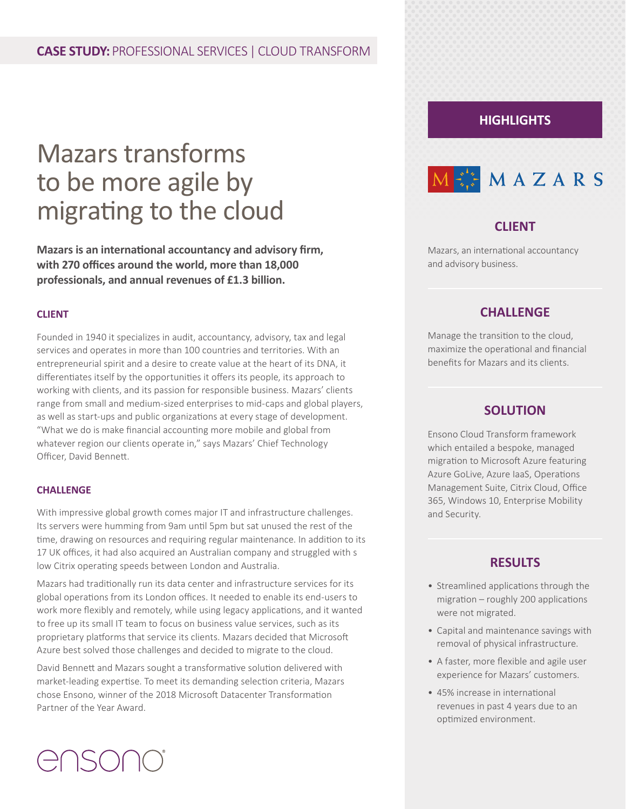# Mazars transforms to be more agile by migrating to the cloud

**Mazars is an international accountancy and advisory firm, with 270 offices around the world, more than 18,000 professionals, and annual revenues of £1.3 billion.**

#### **CLIENT**

Founded in 1940 it specializes in audit, accountancy, advisory, tax and legal services and operates in more than 100 countries and territories. With an entrepreneurial spirit and a desire to create value at the heart of its DNA, it differentiates itself by the opportunities it offers its people, its approach to working with clients, and its passion for responsible business. Mazars' clients range from small and medium-sized enterprises to mid-caps and global players, as well as start-ups and public organizations at every stage of development. "What we do is make financial accounting more mobile and global from whatever region our clients operate in," says Mazars' Chief Technology Officer, David Bennett.

#### **CHALLENGE**

With impressive global growth comes major IT and infrastructure challenges. Its servers were humming from 9am until 5pm but sat unused the rest of the time, drawing on resources and requiring regular maintenance. In addition to its 17 UK offices, it had also acquired an Australian company and struggled with s low Citrix operating speeds between London and Australia.

Mazars had traditionally run its data center and infrastructure services for its global operations from its London offices. It needed to enable its end-users to work more flexibly and remotely, while using legacy applications, and it wanted to free up its small IT team to focus on business value services, such as its proprietary platforms that service its clients. Mazars decided that Microsoft Azure best solved those challenges and decided to migrate to the cloud.

David Bennett and Mazars sought a transformative solution delivered with market-leading expertise. To meet its demanding selection criteria, Mazars chose Ensono, winner of the 2018 Microsoft Datacenter Transformation Partner of the Year Award.

# **HIGHLIGHTS**



## **CLIENT**

Mazars, an international accountancy and advisory business.

#### **CHALLENGE**

Manage the transition to the cloud, maximize the operational and financial benefits for Mazars and its clients.

#### **SOLUTION**

Ensono Cloud Transform framework which entailed a bespoke, managed migration to Microsoft Azure featuring Azure GoLive, Azure IaaS, Operations Management Suite, Citrix Cloud, Office 365, Windows 10, Enterprise Mobility and Security.

## **RESULTS**

- Streamlined applications through the migration – roughly 200 applications were not migrated.
- Capital and maintenance savings with removal of physical infrastructure.
- A faster, more flexible and agile user experience for Mazars' customers.
- 45% increase in international revenues in past 4 years due to an optimized environment.